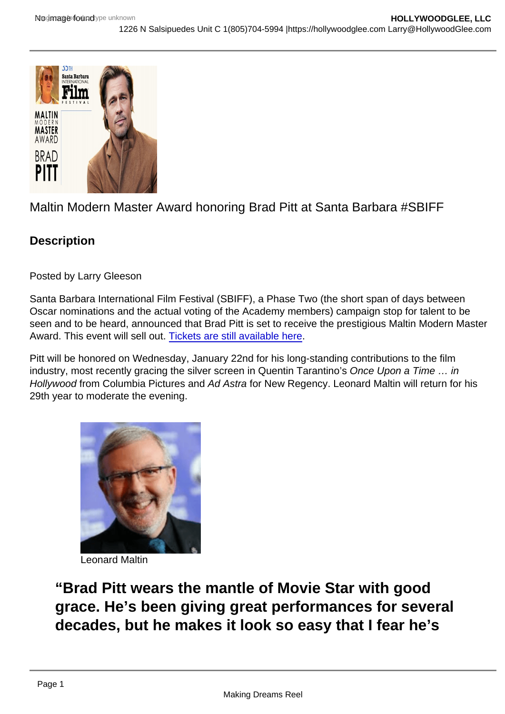## Maltin Modern Master Award honoring Brad Pitt at Santa Barbara #SBIFF

**Description** 

Posted by Larry Gleeson

Santa Barbara International Film Festival (SBIFF), a Phase Two (the short span of days between Oscar nominations and the actual voting of the Academy members) campaign stop for talent to be seen and to be heard, announced that Brad Pitt is set to receive the prestigious Maltin Modern Master Award. This event will sell out. [Tickets are still available here](https://givebox.com/518393).

Pitt will be honored on Wednesday, January 22nd for his long-standing contributions to the film industry, most recently gracing the silver screen in Quentin Tarantino's Once Upon a Time … in Hollywood from Columbia Pictures and Ad Astra for New Regency. Leonard Maltin will return for his 29th year to moderate the evening.

Leonard Maltin

"Brad Pitt wears the mantle of Movie Star with good grace. He's been giving great performances for several decades, but he makes it look so easy that I fear he's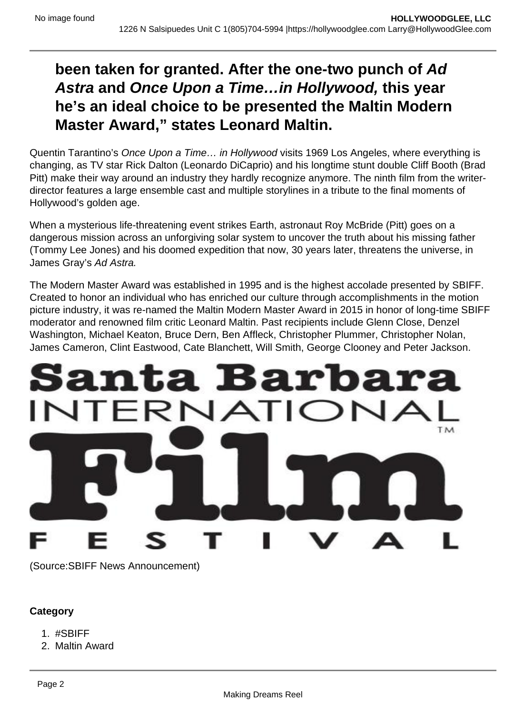## **been taken for granted. After the one-two punch of Ad Astra and Once Upon a Time…in Hollywood, this year he's an ideal choice to be presented the Maltin Modern Master Award," states Leonard Maltin.**

Quentin Tarantino's Once Upon a Time… in Hollywood visits 1969 Los Angeles, where everything is changing, as TV star Rick Dalton (Leonardo DiCaprio) and his longtime stunt double Cliff Booth (Brad Pitt) make their way around an industry they hardly recognize anymore. The ninth film from the writerdirector features a large ensemble cast and multiple storylines in a tribute to the final moments of Hollywood's golden age.

When a mysterious life-threatening event strikes Earth, astronaut Roy McBride (Pitt) goes on a dangerous mission across an unforgiving solar system to uncover the truth about his missing father (Tommy Lee Jones) and his doomed expedition that now, 30 years later, threatens the universe, in James Gray's Ad Astra.

The Modern Master Award was established in 1995 and is the highest accolade presented by SBIFF. Created to honor an individual who has enriched our culture through accomplishments in the motion picture industry, it was re-named the Maltin Modern Master Award in 2015 in honor of long-time SBIFF moderator and renowned film critic Leonard Maltin. Past recipients include Glenn Close, Denzel Washington, Michael Keaton, Bruce Dern, Ben Affleck, Christopher Plummer, Christopher Nolan, James Cameron, Clint Eastwood, Cate Blanchett, Will Smith, George Clooney and Peter Jackson.



(Source:SBIFF News Announcement)

## **Category**

- 1. #SBIFF
- 2. Maltin Award